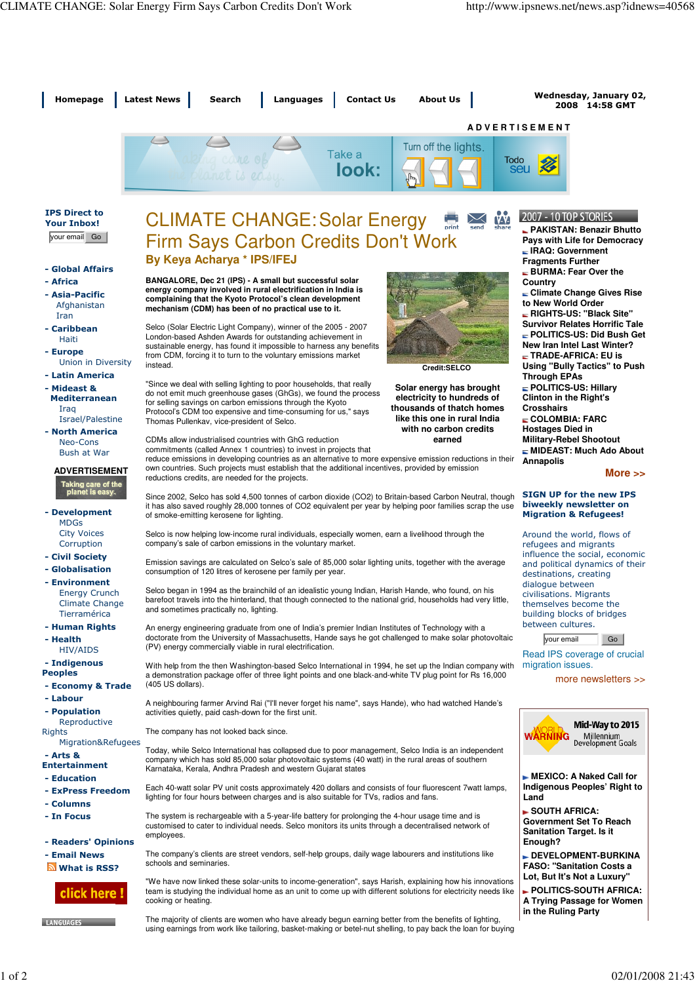